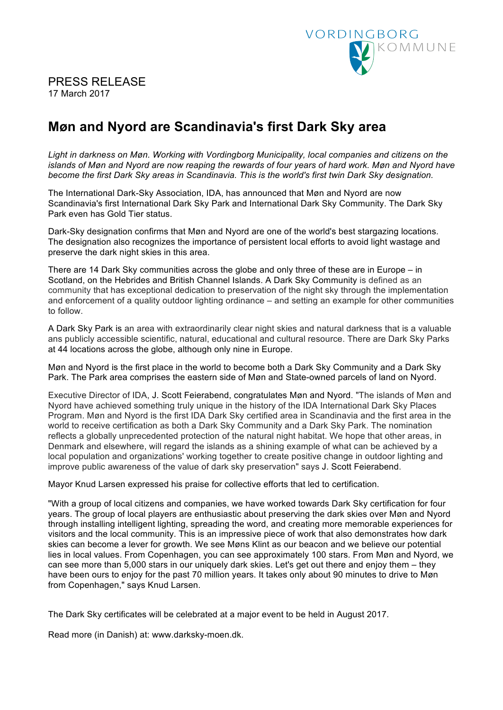

## PRESS RELEASE 17 March 2017

## **Møn and Nyord are Scandinavia's first Dark Sky area**

*Light in darkness on Møn. Working with Vordingborg Municipality, local companies and citizens on the islands of Møn and Nyord are now reaping the rewards of four years of hard work. Møn and Nyord have become the first Dark Sky areas in Scandinavia. This is the world's first twin Dark Sky designation.* 

The International Dark-Sky Association, IDA, has announced that Møn and Nyord are now Scandinavia's first International Dark Sky Park and International Dark Sky Community. The Dark Sky Park even has Gold Tier status.

Dark-Sky designation confirms that Møn and Nyord are one of the world's best stargazing locations. The designation also recognizes the importance of persistent local efforts to avoid light wastage and preserve the dark night skies in this area.

There are 14 Dark Sky communities across the globe and only three of these are in Europe – in Scotland, on the Hebrides and British Channel Islands. A Dark Sky Community is defined as an community that has exceptional dedication to preservation of the night sky through the implementation and enforcement of a quality outdoor lighting ordinance – and setting an example for other communities to follow.

A Dark Sky Park is an area with extraordinarily clear night skies and natural darkness that is a valuable ans publicly accessible scientific, natural, educational and cultural resource. There are Dark Sky Parks at 44 locations across the globe, although only nine in Europe.

Møn and Nyord is the first place in the world to become both a Dark Sky Community and a Dark Sky Park. The Park area comprises the eastern side of Møn and State-owned parcels of land on Nyord.

Executive Director of IDA, J. Scott Feierabend, congratulates Møn and Nyord. "The islands of Møn and Nyord have achieved something truly unique in the history of the IDA International Dark Sky Places Program. Møn and Nyord is the first IDA Dark Sky certified area in Scandinavia and the first area in the world to receive certification as both a Dark Sky Community and a Dark Sky Park. The nomination reflects a globally unprecedented protection of the natural night habitat. We hope that other areas, in Denmark and elsewhere, will regard the islands as a shining example of what can be achieved by a local population and organizations' working together to create positive change in outdoor lighting and improve public awareness of the value of dark sky preservation" says J. Scott Feierabend.

Mayor Knud Larsen expressed his praise for collective efforts that led to certification.

"With a group of local citizens and companies, we have worked towards Dark Sky certification for four years. The group of local players are enthusiastic about preserving the dark skies over Møn and Nyord through installing intelligent lighting, spreading the word, and creating more memorable experiences for visitors and the local community. This is an impressive piece of work that also demonstrates how dark skies can become a lever for growth. We see Møns Klint as our beacon and we believe our potential lies in local values. From Copenhagen, you can see approximately 100 stars. From Møn and Nyord, we can see more than 5,000 stars in our uniquely dark skies. Let's get out there and enjoy them – they have been ours to enjoy for the past 70 million years. It takes only about 90 minutes to drive to Møn from Copenhagen," says Knud Larsen.

The Dark Sky certificates will be celebrated at a major event to be held in August 2017.

Read more (in Danish) at: www.darksky-moen.dk.